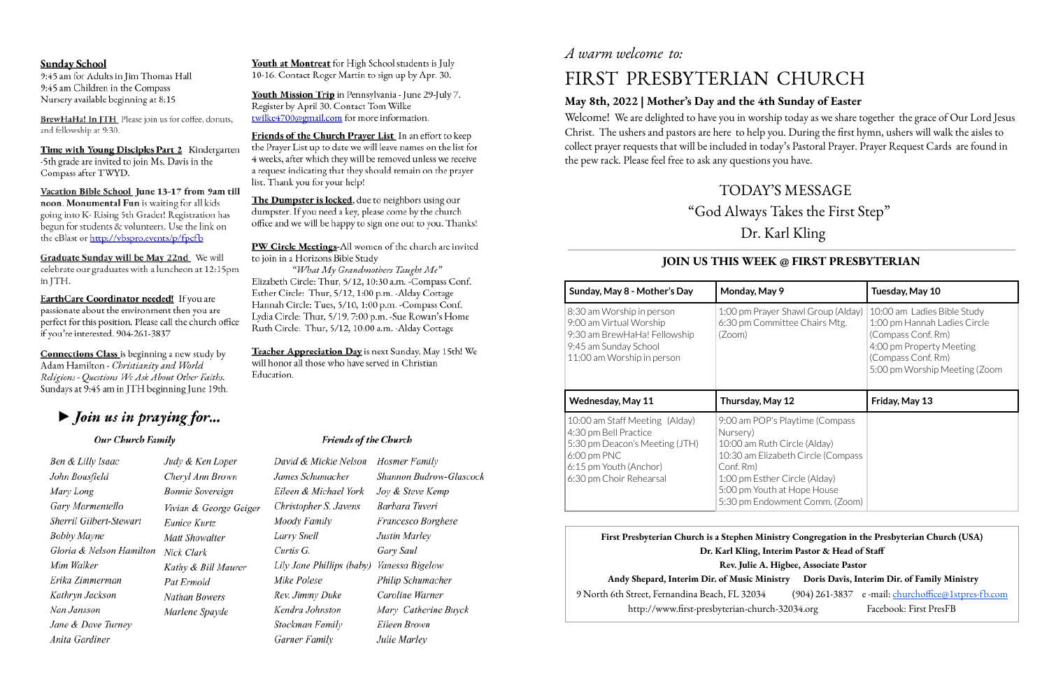## **Sunday School**

9:45 am for Adults in Jim Thomas Hall 9:45 am Children in the Compass Nursery available beginning at 8:15

BrewHaHa! In JTH Please join us for coffee, donuts, and fellowship at 9:30.

Time with Young Disciples Part 2 Kindergarten -5th grade are invited to join Ms. Davis in the Compass after TWYD.

Vacation Bible School June 13-17 from 9am till noon. Monumental Fun is waiting for all kids going into K- Rising 5th Grader! Registration has begun for students & volunteers. Use the link on the eBlast or http://vbspro.events/p/fpcfb

Graduate Sunday will be May 22nd We will celebrate our graduates with a luncheon at 12:15pm in JTH.

EarthCare Coordinator needed! If you are passionate about the environment then you are perfect for this position. Please call the church office if you're interested. 904-261-3837

**Connections Class** is beginning a new study by Adam Hamilton - Christianity and World Religions - Questions We Ask About Other Faiths. Sundays at 9:45 am in JTH beginning June 19th.

# $\triangleright$  Join us in praying for...

### Our Church Family

Ben & Lilly Isaac John Bousfield Mary Long Gary Marmentello Sherril Gilbert-Stewart **Bobby Mayne** Gloria & Nelson Hamilton Mim Walker Erika Zimmerman Kathryn Jackson Nan Jansson Jane & Dave Turney Anita Gardiner

# *A warm welcome to:*

Judy & Ken Loper Cheryl Ann Brown **Bonnie Sovereign** Vivian & George Geiger Eunice Kurtz Matt Showalter Nick Clark Kathy & Bill Maurer Pat Ermold Nathan Bowers Marlene Spayde

Youth at Montreat for High School students is July 10-16. Contact Roger Martin to sign up by Apr. 30.

Youth Mission Trip in Pennsylvania - June 29-July 7. Register by April 30. Contact Tom Wilke twilke4700@gmail.com for more information.

Friends of the Church Prayer List In an effort to keep the Praver List up to date we will leave names on the list for 4 weeks, after which they will be removed unless we receive a request indicating that they should remain on the prayer list. Thank you for your help!

The Dumpster is locked, due to neighbors using our dumpster. If you need a key, please come by the church office and we will be happy to sign one out to you. Thanks!

PW Circle Meetings-All women of the church are invited to join in a Horizons Bible Study

"What My Grandmothers Taught Me" Elizabeth Circle: Thur, 5/12, 10:30 a.m. - Compass Conf. Esther Circle: Thur, 5/12, 1:00 p.m. - Alday Cottage Hannah Circle: Tues, 5/10, 1:00 p.m. - Compass Conf. Lydia Circle: Thur, 5/19, 7:00 p.m. -Sue Rowan's Home Ruth Circle: Thur, 5/12, 10:00 a.m. -Alday Cottage

Teacher Appreciation Day is next Sunday, May 15th! We will honor all those who have served in Christian Education.

### **Friends of the Church**

David & Mickie Nelson Hosmer Family James Schumacher Shannon Budrow-Glascock Eileen & Michael York Joy & Steve Kemp Christopher S. Javens Barbara Tuveri Moody Family Francesco Borghese Larry Snell Justin Marley Curtis G. Gary Saul Lily Jane Phillips (baby) Vanessa Bigelow Mike Polese Philip Schumacher Caroline Warner Rev. Jimmy Duke Kendra Johnston Mary Catherine Buyck Stockman Family Eileen Brown Garner Family Julie Marley

# FIRST PRESBYTERIAN CHURCH

## **May 8th, 2022 | Mother's Day and the 4th Sunday of Easter**

Welcome! We are delighted to have you in worship today as we share together the grace of Our Lord Jesus Christ. The ushers and pastors are here to help you. During the first hymn, ushers will walk the aisles to collect prayer requests that will be included in today's Pastoral Prayer. Prayer Request Cards are found in the pew rack. Please feel free to ask any questions you have.

> TODAY'S MESSAGE "God Always Takes the First Step" Dr. Karl Kling

## **JOIN US THIS WEEK @ FIRST PRESBYTERIAN**

| Sunday, May 8 - Mother's Day                                                                                                                                    | Monday, May 9                                                                                                                                                                                                                    | Tuesday, May 10                                                                                                                                                      |  |
|-----------------------------------------------------------------------------------------------------------------------------------------------------------------|----------------------------------------------------------------------------------------------------------------------------------------------------------------------------------------------------------------------------------|----------------------------------------------------------------------------------------------------------------------------------------------------------------------|--|
| 8:30 am Worship in person<br>9:00 am Virtual Worship<br>9:30 am BrewHaHa! Fellowship<br>9:45 am Sunday School<br>11:00 am Worship in person                     | 1:00 pm Prayer Shawl Group (Alday)<br>6:30 pm Committee Chairs Mtg.<br>(Zoom)                                                                                                                                                    | 10:00 am Ladies Bible Study<br>1:00 pm Hannah Ladies Circle<br>(Compass Conf. Rm)<br>4:00 pm Property Meeting<br>(Compass Conf. Rm)<br>5:00 pm Worship Meeting (Zoom |  |
| <b>Wednesday, May 11</b>                                                                                                                                        | Thursday, May 12                                                                                                                                                                                                                 | Friday, May 13                                                                                                                                                       |  |
| 10:00 am Staff Meeting (Alday)<br>4:30 pm Bell Practice<br>5:30 pm Deacon's Meeting (JTH)<br>$6:00$ pm PNC<br>6:15 pm Youth (Anchor)<br>6:30 pm Choir Rehearsal | 9:00 am POP's Playtime (Compass<br>Nursery)<br>10:00 am Ruth Circle (Alday)<br>10:30 am Elizabeth Circle (Compass<br>Conf. Rm)<br>1:00 pm Esther Circle (Alday)<br>5:00 pm Youth at Hope House<br>5:30 pm Endowment Comm. (Zoom) |                                                                                                                                                                      |  |

**First Presbyterian Church is a Stephen Min Dr. Karl Kling**, **In Rev. Julie A. Andy Shepard, Interim Dir. of Music Ministry Doris Davis, Interim Dir. of Family Ministry** 9 North 6th Street, Fernandina Beach, FL 32034 http://www.first-presbyterian-church

| iistry Congregation in the Presbyterian Church (USA) |                                                    |  |  |  |  |
|------------------------------------------------------|----------------------------------------------------|--|--|--|--|
| terim Pastor & Head of Staff                         |                                                    |  |  |  |  |
| Higbee, Associate Pastor                             |                                                    |  |  |  |  |
| ıistry                                               | Doris Davis, Interim Dir. of Family Ministry       |  |  |  |  |
|                                                      | (904) 261-3837 e-mail: churchoffice@1stpres-fb.com |  |  |  |  |
| h-32034.org                                          | Facebook: First PresFB                             |  |  |  |  |
|                                                      |                                                    |  |  |  |  |